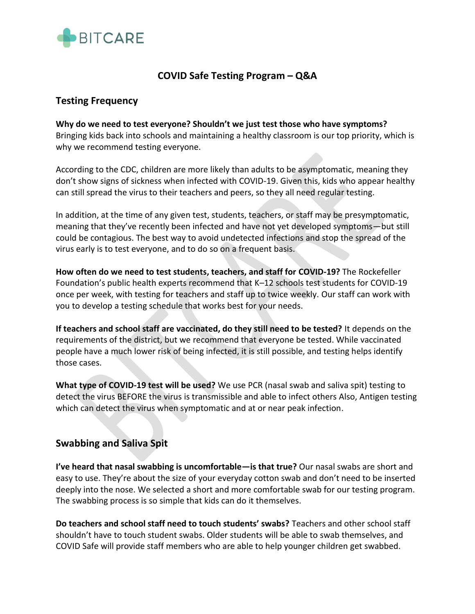

# **COVID Safe Testing Program – Q&A**

### **Testing Frequency**

**Why do we need to test everyone? Shouldn't we just test those who have symptoms?** Bringing kids back into schools and maintaining a healthy classroom is our top priority, which is why we recommend testing everyone.

According to the CDC, children are more likely than adults to be asymptomatic, meaning they don't show signs of sickness when infected with COVID-19. Given this, kids who appear healthy can still spread the virus to their teachers and peers, so they all need regular testing.

In addition, at the time of any given test, students, teachers, or staff may be presymptomatic, meaning that they've recently been infected and have not yet developed symptoms—but still could be contagious. The best way to avoid undetected infections and stop the spread of the virus early is to test everyone, and to do so on a frequent basis.

**How often do we need to test students, teachers, and staff for COVID-19?** The Rockefeller Foundation's public health experts recommend that K–12 schools test students for COVID-19 once per week, with testing for teachers and staff up to twice weekly. Our staff can work with you to develop a testing schedule that works best for your needs.

**If teachers and school staff are vaccinated, do they still need to be tested?** It depends on the requirements of the district, but we recommend that everyone be tested. While vaccinated people have a much lower risk of being infected, it is still possible, and testing helps identify those cases.

**What type of COVID-19 test will be used?** We use PCR (nasal swab and saliva spit) testing to detect the virus BEFORE the virus is transmissible and able to infect others Also, Antigen testing which can detect the virus when symptomatic and at or near peak infection.

# **Swabbing and Saliva Spit**

**I've heard that nasal swabbing is uncomfortable—is that true?** Our nasal swabs are short and easy to use. They're about the size of your everyday cotton swab and don't need to be inserted deeply into the nose. We selected a short and more comfortable swab for our testing program. The swabbing process is so simple that kids can do it themselves.

**Do teachers and school staff need to touch students' swabs?** Teachers and other school staff shouldn't have to touch student swabs. Older students will be able to swab themselves, and COVID Safe will provide staff members who are able to help younger children get swabbed.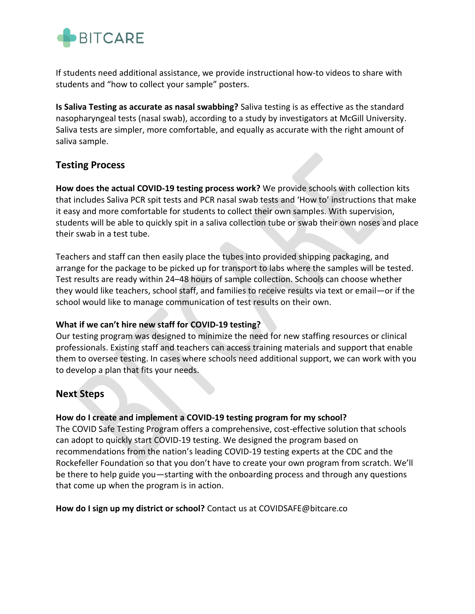

If students need additional assistance, we provide instructional how-to videos to share with students and "how to collect your sample" posters.

**Is Saliva Testing as accurate as nasal swabbing?** Saliva testing is as effective as the standard nasopharyngeal tests (nasal swab), according to a study by investigators at McGill University. Saliva tests are simpler, more comfortable, and equally as accurate with the right amount of saliva sample.

### **Testing Process**

**How does the actual COVID-19 testing process work?** We provide schools with collection kits that includes Saliva PCR spit tests and PCR nasal swab tests and 'How to' instructions that make it easy and more comfortable for students to collect their own samples. With supervision, students will be able to quickly spit in a saliva collection tube or swab their own noses and place their swab in a test tube.

Teachers and staff can then easily place the tubes into provided shipping packaging, and arrange for the package to be picked up for transport to labs where the samples will be tested. Test results are ready within 24–48 hours of sample collection. Schools can choose whether they would like teachers, school staff, and families to receive results via text or email—or if the school would like to manage communication of test results on their own.

#### **What if we can't hire new staff for COVID-19 testing?**

Our testing program was designed to minimize the need for new staffing resources or clinical professionals. Existing staff and teachers can access training materials and support that enable them to oversee testing. In cases where schools need additional support, we can work with you to develop a plan that fits your needs.

# **Next Steps**

#### **How do I create and implement a COVID-19 testing program for my school?**

The COVID Safe Testing Program offers a comprehensive, cost-effective solution that schools can adopt to quickly start COVID-19 testing. We designed the program based on recommendations from the nation's leading COVID-19 testing experts at the CDC and the Rockefeller Foundation so that you don't have to create your own program from scratch. We'll be there to help guide you—starting with the onboarding process and through any questions that come up when the program is in action.

**How do I sign up my district or school?** Contact us at COVIDSAFE@bitcare.co